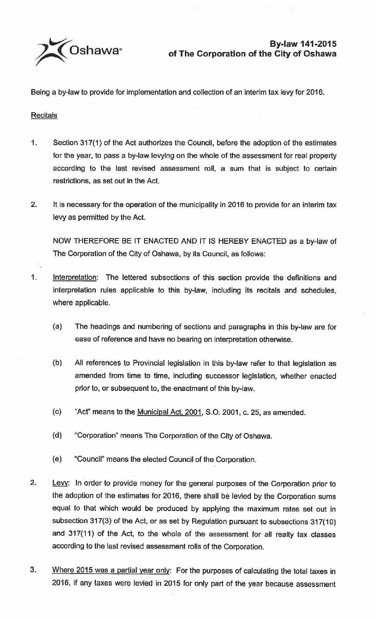

Being a by-law to provide for implementation and collection of an interim tax levy for 2016.

**Recitals** 

- 1. Section 317(1) of the Act authorizes the Council, before the adoption of the estimates for the year, to pass a by-law levying on the whole of the assessment for real property according to the last revised assessment roll, a sum that is subject to certain restrictions, as set out in the Act.
- 2. It is necessary for the operation of the municipality in 2016 to provide for an interim tax levy as permitted by the Act.

NOW THEREFORE BE IT ENACTED AND IT IS HEREBY ENACTED as a by-law of The Corporation of the City of Oshawa, by its Council, as follows:

- 1. Interpretation: The lettered subsections of this section provide the definitions and interpretation rules applicable to this by-law, including its recitals and schedules, where applicable.
	- (a) The headings and numbering of sections and paragraphs in this by-law are for ease of reference and have no bearing on interpretation otherwise.
	- (b) All references to Provincial legislation in this by-law refer to that legislation as amended from time to time, including successor legislation, whether enacted prior to, or subsequent to, the enactment of this by-law.
	- (c) "Act" means to the Municipal Act. 2001, S.O. 2001, c. 25, as amended.
	- (d) "Corporation" means The Corporation of the City of Oshawa.
	- (e) "Council" means the elected Council of the Corporation.
- 2. Levy: In order to provide money for the general purposes of the Corporation prior to the adoption of the estimates for 2016, there shall be levied by the Corporation sums equal to that which would be produced by applying the maximum rates set out in subsection 317(3) of the Act, or as set by Regulation pursuant to subsections 317(10) and 317(11) of the Act, to the whole of the assessment for all realty tax classes according to the last revised assessment rolls of the Corporation.
- 3. Where 2015 was a partial year only: For the purposes of calculating the total taxes in 2016, if any taxes were levied in 2015 for only part of the year because assessment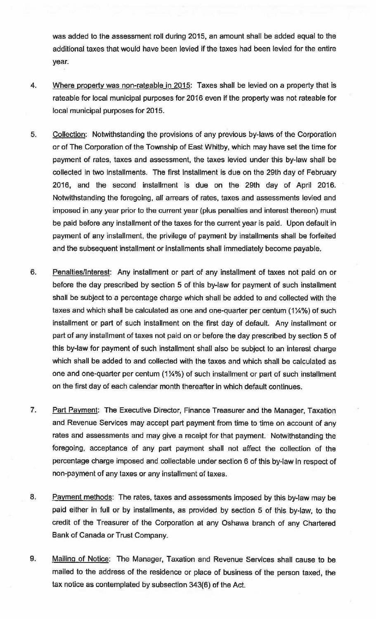was added to the assessment roll during 2015, an amount shall be added equal to the additional taxes that would have been levied if the taxes had been levied for the entire year.

- 4. Where property was non-rateable in 2015: Taxes shall be levied on a property that is rateable for local municipal purposes for 2016 even if the property was not rateable for local municipal purposes for 2015.
- 5. Collection: Notwithstanding the provisions of any previous by-laws of the Corporation or of The Corporation of the Township of East Whitby, which may have set the time for payment of rates, taxes and assessment, the taxes levied under this by-law shall be collected in two installments. The first installment is due on the 29th day of February 2016, and the second installment is due on the 29th day of April 2016. Notwithstanding the foregoing, all arrears of rates, taxes and assessments levied and imposed in any year prior to the current year (plus penalties and interest thereon} must be paid before any installment of the taxes for the current year is paid. Upon default in payment of any installment, the privilege of payment by installments shall be forfeited and the subsequent installment or installments shall immediately become payable.
- 6. Penalties/Interest: Any installment or part of any installment of taxes not paid on or before the day prescribed by section 5 of this by-law for payment of such installment shall be subject to a percentage charge which shall be added to and collected with the taxes and which shall be calculated as one and one-quarter per centum (1¼%) of such installment or part of such installment on the first day of default. Any installment or part of any installment of taxes not paid on or before the day prescribed by section 5 of this by-law for payment of such installment shall also be subject to an interest charge which shall be added to and collected with the taxes and which shall be calculated as one and one-quarter per centum (1¼%) of such installment or part of such installment on the first day of each calendar month thereafter in which default continues.
- 7. Part Payment: The Executive Director, Finance Treasurer and the Manager, Taxation and Revenue Services may accept part payment from time to time on account of any rates and assessments and may give a receipt for that payment. Notwithstanding the foregoing, acceptance of any part payment shall not affect the collection of the percentage charge imposed and collectable under section 6 of this by-law In respect of non-payment of any taxes or any installment of taxes.
- 8. Payment methods: The rates, taxes and assessments imposed by this by-law may be paid either in full or by installments, as provided by section 5 of this by-law, to the credit of the Treasurer of the Corporation at any Oshawa branch of any Chartered Bank of Canada or Trust Company.
- 9. Mailing of Notice: The Manager, Taxation and Revenue Services shall cause to be mailed to the address of the residence or place of business of the person taxed, the tax notice as contemplated by subsection 343(6) of the Act.